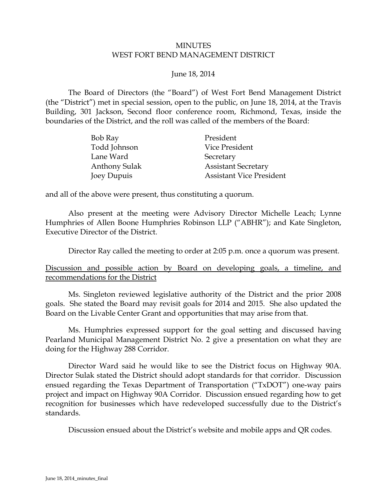## MINUTES WEST FORT BEND MANAGEMENT DISTRICT

## June 18, 2014

The Board of Directors (the "Board") of West Fort Bend Management District (the "District") met in special session, open to the public, on June 18, 2014, at the Travis Building, 301 Jackson, Second floor conference room, Richmond, Texas, inside the boundaries of the District, and the roll was called of the members of the Board:

| Bob Ray              | President                       |
|----------------------|---------------------------------|
| Todd Johnson         | Vice President                  |
| Lane Ward            | Secretary                       |
| <b>Anthony Sulak</b> | <b>Assistant Secretary</b>      |
| Joey Dupuis          | <b>Assistant Vice President</b> |

and all of the above were present, thus constituting a quorum.

Also present at the meeting were Advisory Director Michelle Leach; Lynne Humphries of Allen Boone Humphries Robinson LLP ("ABHR"); and Kate Singleton, Executive Director of the District.

Director Ray called the meeting to order at 2:05 p.m. once a quorum was present.

Discussion and possible action by Board on developing goals, a timeline, and recommendations for the District

Ms. Singleton reviewed legislative authority of the District and the prior 2008 goals. She stated the Board may revisit goals for 2014 and 2015. She also updated the Board on the Livable Center Grant and opportunities that may arise from that.

Ms. Humphries expressed support for the goal setting and discussed having Pearland Municipal Management District No. 2 give a presentation on what they are doing for the Highway 288 Corridor.

Director Ward said he would like to see the District focus on Highway 90A. Director Sulak stated the District should adopt standards for that corridor. Discussion ensued regarding the Texas Department of Transportation ("TxDOT") one-way pairs project and impact on Highway 90A Corridor. Discussion ensued regarding how to get recognition for businesses which have redeveloped successfully due to the District's standards.

Discussion ensued about the District's website and mobile apps and QR codes.